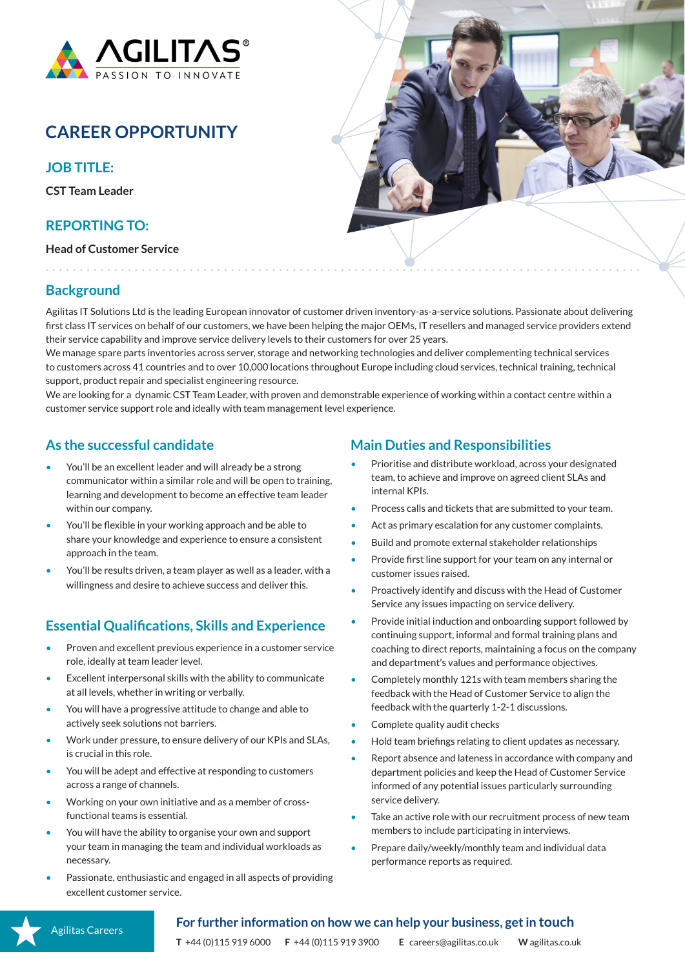

# **CAREER OPPORTUNITY**

**JOB TITLE:**

**CST Team Leader**

## **REPORTING TO:**

**Head of Customer Service**



# **Background**

Agilitas IT Solutions Ltd is the leading European innovator of customer driven inventory-as-a-service solutions. Passionate about delivering first class IT services on behalf of our customers, we have been helping the major OEMs, IT resellers and managed service providers extend their service capability and improve service delivery levels to their customers for over 25 years.

We manage spare parts inventories across server, storage and networking technologies and deliver complementing technical services to customers across 41 countries and to over 10,000 locations throughout Europe including cloud services, technical training, technical support, product repair and specialist engineering resource.

We are looking for a dynamic CST Team Leader, with proven and demonstrable experience of working within a contact centre within a customer service support role and ideally with team management level experience.

## **As the successful candidate**

- You'll be an excellent leader and will already be a strong communicator within a similar role and will be open to training, learning and development to become an effective team leader within our company.
- You'll be flexible in your working approach and be able to share your knowledge and experience to ensure a consistent approach in the team.
- You'll be results driven, a team player as well as a leader, with a willingness and desire to achieve success and deliver this.

# **Essential Qualifications, Skills and Experience**

- Proven and excellent previous experience in a customer service role, ideally at team leader level.
- Excellent interpersonal skills with the ability to communicate at all levels, whether in writing or verbally.
- You will have a progressive attitude to change and able to actively seek solutions not barriers.
- Work under pressure, to ensure delivery of our KPIs and SLAs, is crucial in this role.
- You will be adept and effective at responding to customers across a range of channels.
- Working on your own initiative and as a member of crossfunctional teams is essential.
- You will have the ability to organise your own and support your team in managing the team and individual workloads as necessary.
- Passionate, enthusiastic and engaged in all aspects of providing excellent customer service.

#### **Main Duties and Responsibilities**

- Prioritise and distribute workload, across your designated team, to achieve and improve on agreed client SLAs and internal KPIs.
- Process calls and tickets that are submitted to your team.
- Act as primary escalation for any customer complaints.
- Build and promote external stakeholder relationships
- Provide first line support for your team on any internal or customer issues raised.
- Proactively identify and discuss with the Head of Customer Service any issues impacting on service delivery.
- Provide initial induction and onboarding support followed by continuing support, informal and formal training plans and coaching to direct reports, maintaining a focus on the company and department's values and performance objectives.
- Completely monthly 121s with team members sharing the feedback with the Head of Customer Service to align the feedback with the quarterly 1-2-1 discussions.
- Complete quality audit checks
- Hold team briefings relating to client updates as necessary.
- Report absence and lateness in accordance with company and department policies and keep the Head of Customer Service informed of any potential issues particularly surrounding service delivery.
- Take an active role with our recruitment process of new team members to include participating in interviews.
- Prepare daily/weekly/monthly team and individual data performance reports as required.

#### **For further information on how we can help your business, get in touch**

**T** +44 (0)115 919 6000 **F** +44 (0)115 919 3900 **E** careers@agilitas.co.uk **W** agilitas.co.uk